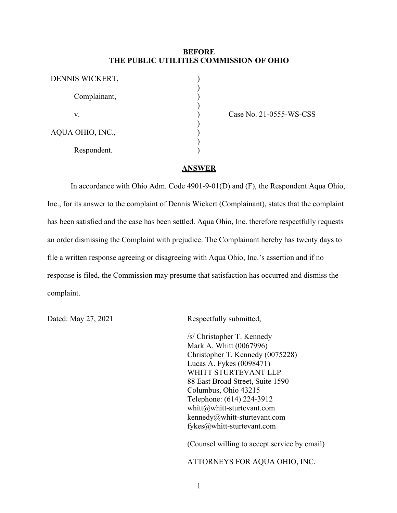## **BEFORE THE PUBLIC UTILITIES COMMISSION OF OHIO**

| DENNIS WICKERT,  |  |
|------------------|--|
| Complainant,     |  |
| V.               |  |
| AQUA OHIO, INC., |  |
| Respondent.      |  |

Case No. 21-0555-WS-CSS

## **ANSWER**

In accordance with Ohio Adm. Code 4901-9-01(D) and (F), the Respondent Aqua Ohio, Inc., for its answer to the complaint of Dennis Wickert (Complainant), states that the complaint has been satisfied and the case has been settled. Aqua Ohio, Inc. therefore respectfully requests an order dismissing the Complaint with prejudice. The Complainant hereby has twenty days to file a written response agreeing or disagreeing with Aqua Ohio, Inc.'s assertion and if no response is filed, the Commission may presume that satisfaction has occurred and dismiss the complaint.

Dated: May 27, 2021 Respectfully submitted,

/s/ Christopher T. Kennedy Mark A. Whitt (0067996) Christopher T. Kennedy (0075228) Lucas A. Fykes (0098471) WHITT STURTEVANT LLP 88 East Broad Street, Suite 1590 Columbus, Ohio 43215 Telephone: (614) 224-3912 whitt@whitt-sturtevant.com kennedy@whitt-sturtevant.com fykes@whitt-sturtevant.com

(Counsel willing to accept service by email)

ATTORNEYS FOR AQUA OHIO, INC.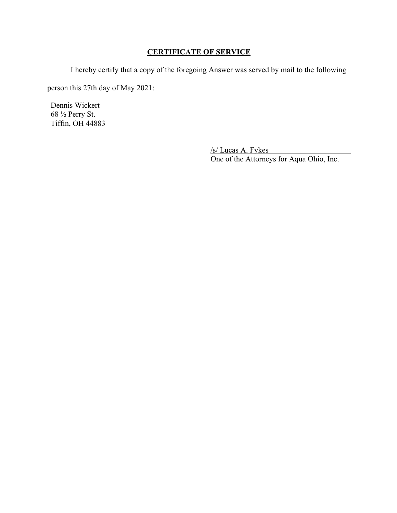## **CERTIFICATE OF SERVICE**

I hereby certify that a copy of the foregoing Answer was served by mail to the following

person this 27th day of May 2021:

Dennis Wickert 68 ½ Perry St. Tiffin, OH 44883

> /s/ Lucas A. Fykes One of the Attorneys for Aqua Ohio, Inc.